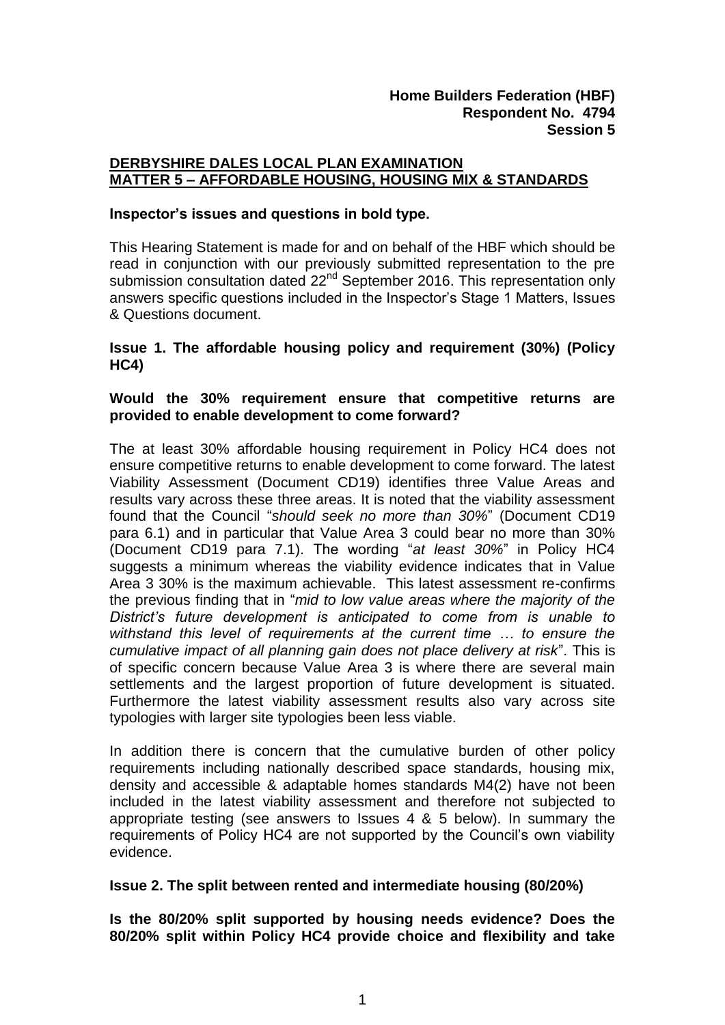## **DERBYSHIRE DALES LOCAL PLAN EXAMINATION MATTER 5 – AFFORDABLE HOUSING, HOUSING MIX & STANDARDS**

#### **Inspector's issues and questions in bold type.**

This Hearing Statement is made for and on behalf of the HBF which should be read in conjunction with our previously submitted representation to the pre submission consultation dated 22<sup>nd</sup> September 2016. This representation only answers specific questions included in the Inspector's Stage 1 Matters, Issues & Questions document.

### **Issue 1. The affordable housing policy and requirement (30%) (Policy HC4)**

## **Would the 30% requirement ensure that competitive returns are provided to enable development to come forward?**

The at least 30% affordable housing requirement in Policy HC4 does not ensure competitive returns to enable development to come forward. The latest Viability Assessment (Document CD19) identifies three Value Areas and results vary across these three areas. It is noted that the viability assessment found that the Council "*should seek no more than 30%*" (Document CD19 para 6.1) and in particular that Value Area 3 could bear no more than 30% (Document CD19 para 7.1). The wording "*at least 30%*" in Policy HC4 suggests a minimum whereas the viability evidence indicates that in Value Area 3 30% is the maximum achievable. This latest assessment re-confirms the previous finding that in "*mid to low value areas where the majority of the District's future development is anticipated to come from is unable to withstand this level of requirements at the current time … to ensure the cumulative impact of all planning gain does not place delivery at risk*". This is of specific concern because Value Area 3 is where there are several main settlements and the largest proportion of future development is situated. Furthermore the latest viability assessment results also vary across site typologies with larger site typologies been less viable.

In addition there is concern that the cumulative burden of other policy requirements including nationally described space standards, housing mix, density and accessible & adaptable homes standards M4(2) have not been included in the latest viability assessment and therefore not subjected to appropriate testing (see answers to Issues 4 & 5 below). In summary the requirements of Policy HC4 are not supported by the Council's own viability evidence.

### **Issue 2. The split between rented and intermediate housing (80/20%)**

**Is the 80/20% split supported by housing needs evidence? Does the 80/20% split within Policy HC4 provide choice and flexibility and take**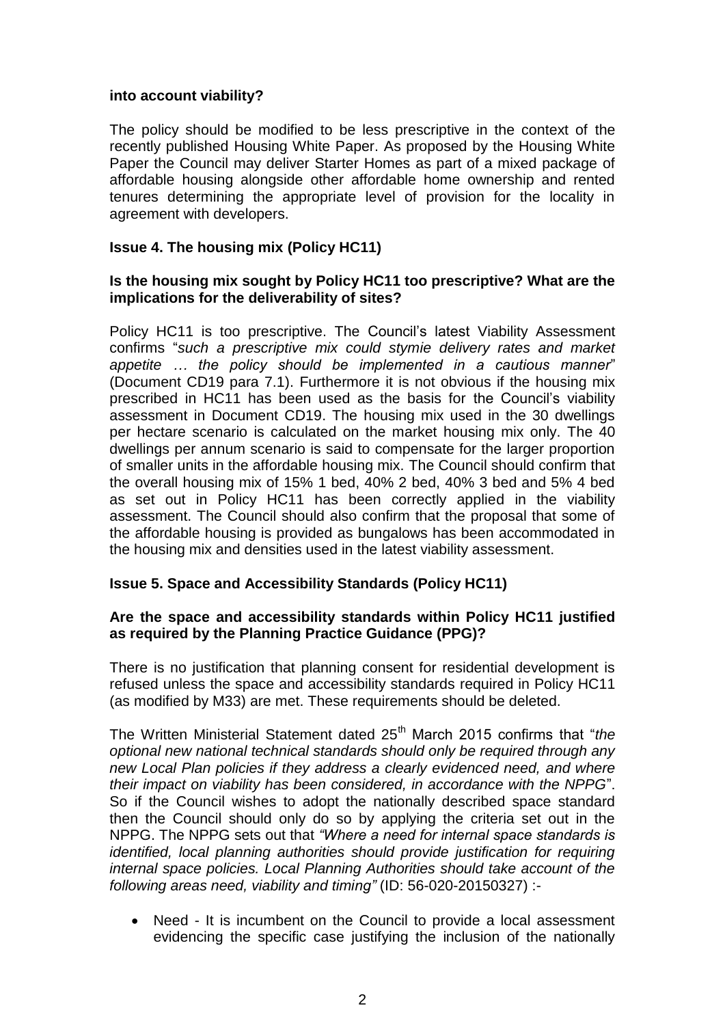### **into account viability?**

The policy should be modified to be less prescriptive in the context of the recently published Housing White Paper. As proposed by the Housing White Paper the Council may deliver Starter Homes as part of a mixed package of affordable housing alongside other affordable home ownership and rented tenures determining the appropriate level of provision for the locality in agreement with developers.

## **Issue 4. The housing mix (Policy HC11)**

### **Is the housing mix sought by Policy HC11 too prescriptive? What are the implications for the deliverability of sites?**

Policy HC11 is too prescriptive. The Council's latest Viability Assessment confirms "*such a prescriptive mix could stymie delivery rates and market appetite … the policy should be implemented in a cautious manner*" (Document CD19 para 7.1). Furthermore it is not obvious if the housing mix prescribed in HC11 has been used as the basis for the Council's viability assessment in Document CD19. The housing mix used in the 30 dwellings per hectare scenario is calculated on the market housing mix only. The 40 dwellings per annum scenario is said to compensate for the larger proportion of smaller units in the affordable housing mix. The Council should confirm that the overall housing mix of 15% 1 bed, 40% 2 bed, 40% 3 bed and 5% 4 bed as set out in Policy HC11 has been correctly applied in the viability assessment. The Council should also confirm that the proposal that some of the affordable housing is provided as bungalows has been accommodated in the housing mix and densities used in the latest viability assessment.

### **Issue 5. Space and Accessibility Standards (Policy HC11)**

# **Are the space and accessibility standards within Policy HC11 justified as required by the Planning Practice Guidance (PPG)?**

There is no justification that planning consent for residential development is refused unless the space and accessibility standards required in Policy HC11 (as modified by M33) are met. These requirements should be deleted.

The Written Ministerial Statement dated 25<sup>th</sup> March 2015 confirms that "*the optional new national technical standards should only be required through any new Local Plan policies if they address a clearly evidenced need, and where their impact on viability has been considered, in accordance with the NPPG*". So if the Council wishes to adopt the nationally described space standard then the Council should only do so by applying the criteria set out in the NPPG. The NPPG sets out that *"Where a need for internal space standards is identified, local planning authorities should provide justification for requiring internal space policies. Local Planning Authorities should take account of the following areas need, viability and timing"* (ID: 56-020-20150327) :-

 Need - It is incumbent on the Council to provide a local assessment evidencing the specific case justifying the inclusion of the nationally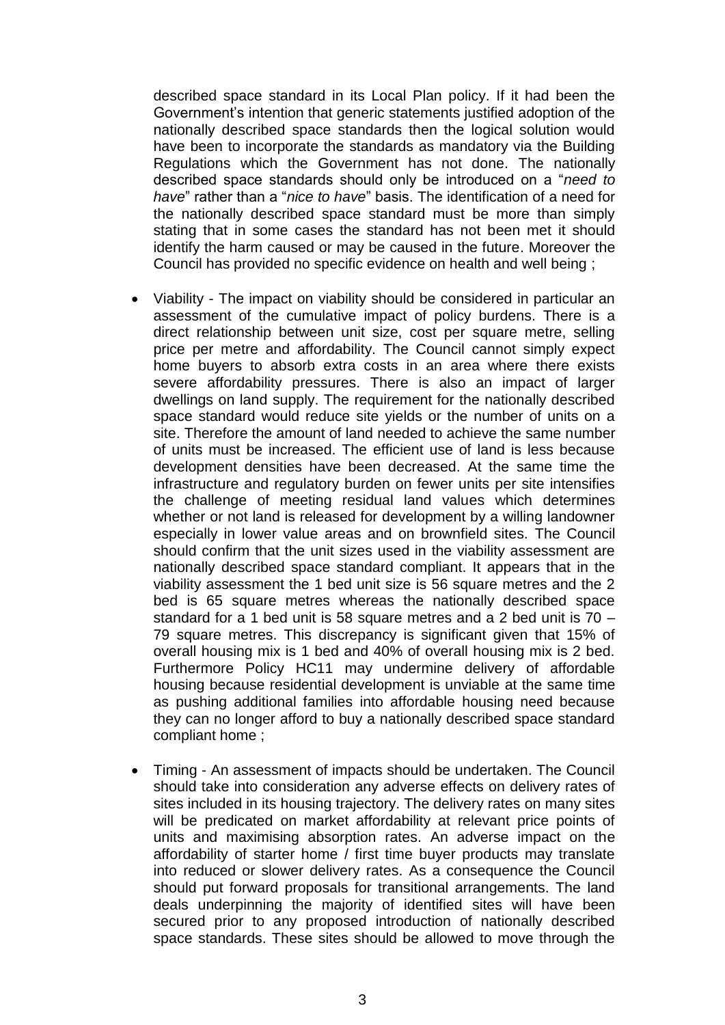described space standard in its Local Plan policy. If it had been the Government's intention that generic statements justified adoption of the nationally described space standards then the logical solution would have been to incorporate the standards as mandatory via the Building Regulations which the Government has not done. The nationally described space standards should only be introduced on a "*need to have*" rather than a "*nice to have*" basis. The identification of a need for the nationally described space standard must be more than simply stating that in some cases the standard has not been met it should identify the harm caused or may be caused in the future. Moreover the Council has provided no specific evidence on health and well being ;

- Viability The impact on viability should be considered in particular an assessment of the cumulative impact of policy burdens. There is a direct relationship between unit size, cost per square metre, selling price per metre and affordability. The Council cannot simply expect home buyers to absorb extra costs in an area where there exists severe affordability pressures. There is also an impact of larger dwellings on land supply. The requirement for the nationally described space standard would reduce site yields or the number of units on a site. Therefore the amount of land needed to achieve the same number of units must be increased. The efficient use of land is less because development densities have been decreased. At the same time the infrastructure and regulatory burden on fewer units per site intensifies the challenge of meeting residual land values which determines whether or not land is released for development by a willing landowner especially in lower value areas and on brownfield sites. The Council should confirm that the unit sizes used in the viability assessment are nationally described space standard compliant. It appears that in the viability assessment the 1 bed unit size is 56 square metres and the 2 bed is 65 square metres whereas the nationally described space standard for a 1 bed unit is 58 square metres and a 2 bed unit is 70 – 79 square metres. This discrepancy is significant given that 15% of overall housing mix is 1 bed and 40% of overall housing mix is 2 bed. Furthermore Policy HC11 may undermine delivery of affordable housing because residential development is unviable at the same time as pushing additional families into affordable housing need because they can no longer afford to buy a nationally described space standard compliant home ;
- Timing An assessment of impacts should be undertaken. The Council should take into consideration any adverse effects on delivery rates of sites included in its housing trajectory. The delivery rates on many sites will be predicated on market affordability at relevant price points of units and maximising absorption rates. An adverse impact on the affordability of starter home / first time buyer products may translate into reduced or slower delivery rates. As a consequence the Council should put forward proposals for transitional arrangements. The land deals underpinning the majority of identified sites will have been secured prior to any proposed introduction of nationally described space standards. These sites should be allowed to move through the